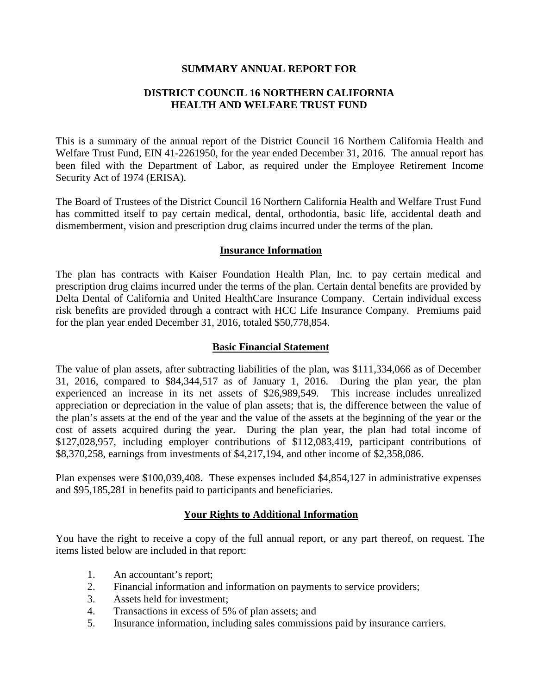### **SUMMARY ANNUAL REPORT FOR**

# **DISTRICT COUNCIL 16 NORTHERN CALIFORNIA HEALTH AND WELFARE TRUST FUND**

This is a summary of the annual report of the District Council 16 Northern California Health and Welfare Trust Fund, EIN 41-2261950, for the year ended December 31, 2016. The annual report has been filed with the Department of Labor, as required under the Employee Retirement Income Security Act of 1974 (ERISA).

The Board of Trustees of the District Council 16 Northern California Health and Welfare Trust Fund has committed itself to pay certain medical, dental, orthodontia, basic life, accidental death and dismemberment, vision and prescription drug claims incurred under the terms of the plan.

## **Insurance Information**

The plan has contracts with Kaiser Foundation Health Plan, Inc. to pay certain medical and prescription drug claims incurred under the terms of the plan. Certain dental benefits are provided by Delta Dental of California and United HealthCare Insurance Company. Certain individual excess risk benefits are provided through a contract with HCC Life Insurance Company. Premiums paid for the plan year ended December 31, 2016, totaled \$50,778,854.

### **Basic Financial Statement**

The value of plan assets, after subtracting liabilities of the plan, was \$111,334,066 as of December 31, 2016, compared to \$84,344,517 as of January 1, 2016. During the plan year, the plan experienced an increase in its net assets of \$26,989,549. This increase includes unrealized appreciation or depreciation in the value of plan assets; that is, the difference between the value of the plan's assets at the end of the year and the value of the assets at the beginning of the year or the cost of assets acquired during the year. During the plan year, the plan had total income of \$127,028,957, including employer contributions of \$112,083,419, participant contributions of \$8,370,258, earnings from investments of \$4,217,194, and other income of \$2,358,086.

Plan expenses were \$100,039,408. These expenses included \$4,854,127 in administrative expenses and \$95,185,281 in benefits paid to participants and beneficiaries.

## **Your Rights to Additional Information**

You have the right to receive a copy of the full annual report, or any part thereof, on request. The items listed below are included in that report:

- 1. An accountant's report;
- 2. Financial information and information on payments to service providers;
- 3. Assets held for investment;
- 4. Transactions in excess of 5% of plan assets; and
- 5. Insurance information, including sales commissions paid by insurance carriers.